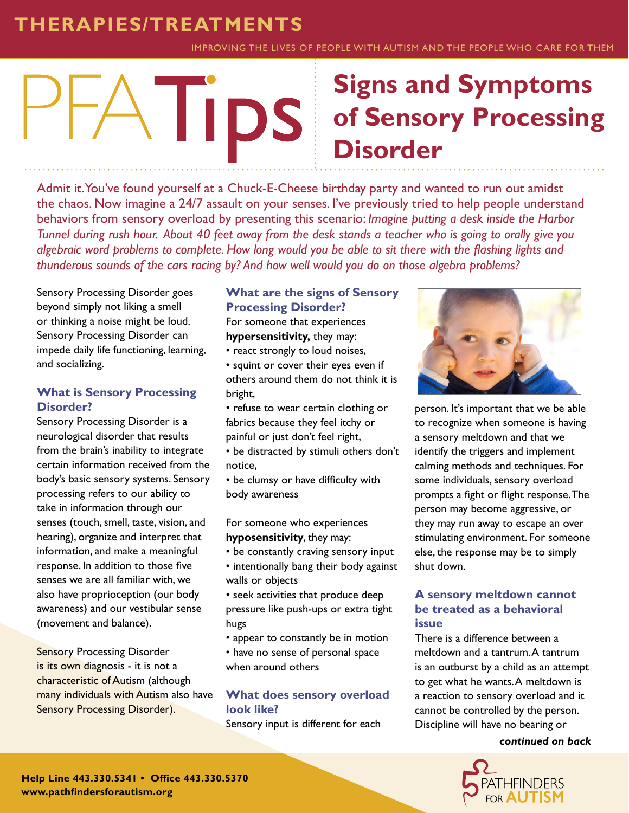# **THERAPIES/TREATMENTS**

IMPROVING THE LIVES OF PEOPLE WITH AUTISM AND THE PEOPLE WHO CARE FOR THEM

# **Signs and Symptoms IIDS of Sensory Processing Disorder**

Admit it. You've found yourself at a Chuck-E-Cheese birthday party and wanted to run out amidst the chaos. Now imagine a 24/7 assault on your senses. I've previously tried to help people understand behaviors from sensory overload by presenting this scenario: *Imagine putting a desk inside the Harbor Tunnel during rush hour. About 40 feet away from the desk stands a teacher who is going to orally give you algebraic word problems to complete. How long would you be able to sit there with the flashing lights and thunderous sounds of the cars racing by? And how well would you do on those algebra problems?*

Sensory Processing Disorder goes beyond simply not liking a smell or thinking a noise might be loud. Sensory Processing Disorder can impede daily life functioning, learning, and socializing.

## **What is Sensory Processing Disorder?**

Sensory Processing Disorder is a neurological disorder that results from the brain's inability to integrate certain information received from the body's basic sensory systems. Sensory processing refers to our ability to take in information through our senses (touch, smell, taste, vision, and hearing), organize and interpret that information, and make a meaningful response. In addition to those five senses we are all familiar with, we also have proprioception (our body awareness) and our vestibular sense (movement and balance).

**Sensory Processing Disorder** is its own diagnosis - it is not a characteristic of Autism (although many individuals with Autism also have Sensory Processing Disorder).

## **What are the signs of Sensory Processing Disorder?**

For someone that experiences **hypersensitivity,** they may:

- react strongly to loud noises,
- squint or cover their eyes even if others around them do not think it is bright,
- refuse to wear certain clothing or fabrics because they feel itchy or painful or just don't feel right,
- be distracted by stimuli others don't notice,
- be clumsy or have difficulty with body awareness

For someone who experiences **hyposensitivity**, they may:

- be constantly craving sensory input
- intentionally bang their body against walls or objects
- seek activities that produce deep pressure like push-ups or extra tight hugs
- appear to constantly be in motion
- have no sense of personal space when around others

## **What does sensory overload look like?**

Sensory input is different for each



person. It's important that we be able to recognize when someone is having a sensory meltdown and that we identify the triggers and implement calming methods and techniques. For some individuals, sensory overload prompts a fight or flight response. The person may become aggressive, or they may run away to escape an over stimulating environment. For someone else, the response may be to simply shut down.

#### **A sensory meltdown cannot be treated as a behavioral issue**

There is a difference between a meltdown and a tantrum. A tantrum is an outburst by a child as an attempt to get what he wants. A meltdown is a reaction to sensory overload and it cannot be controlled by the person. Discipline will have no bearing or

*continued on back*